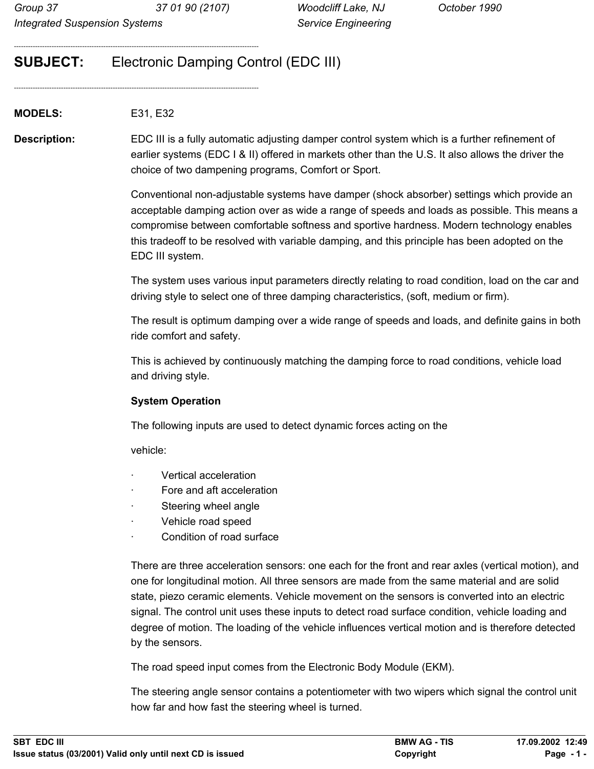--------------------------------------------------------------------------------------------------------

--------------------------------------------------------------------------------------------------------

# **SUBJECT:** Electronic Damping Control (EDC III)

**MODELS:** E31, E32

**Description:** EDC III is a fully automatic adjusting damper control system which is a further refinement of earlier systems (EDC I & II) offered in markets other than the U.S. It also allows the driver the choice of two dampening programs, Comfort or Sport.

> Conventional non-adjustable systems have damper (shock absorber) settings which provide an acceptable damping action over as wide a range of speeds and loads as possible. This means a compromise between comfortable softness and sportive hardness. Modern technology enables this tradeoff to be resolved with variable damping, and this principle has been adopted on the EDC III system.

> The system uses various input parameters directly relating to road condition, load on the car and driving style to select one of three damping characteristics, (soft, medium or firm).

> The result is optimum damping over a wide range of speeds and loads, and definite gains in both ride comfort and safety.

This is achieved by continuously matching the damping force to road conditions, vehicle load and driving style.

## **System Operation**

The following inputs are used to detect dynamic forces acting on the

vehicle:

- · Vertical acceleration
- · Fore and aft acceleration
- Steering wheel angle
- · Vehicle road speed
- Condition of road surface

There are three acceleration sensors: one each for the front and rear axles (vertical motion), and one for longitudinal motion. All three sensors are made from the same material and are solid state, piezo ceramic elements. Vehicle movement on the sensors is converted into an electric signal. The control unit uses these inputs to detect road surface condition, vehicle loading and degree of motion. The loading of the vehicle influences vertical motion and is therefore detected by the sensors.

The road speed input comes from the Electronic Body Module (EKM).

The steering angle sensor contains a potentiometer with two wipers which signal the control unit how far and how fast the steering wheel is turned.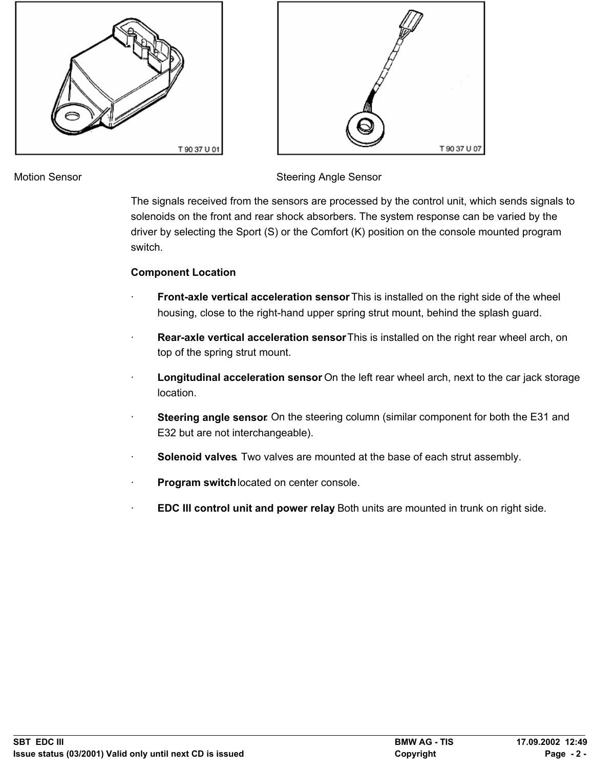



Motion Sensor Summary Steering Angle Sensor

The signals received from the sensors are processed by the control unit, which sends signals to solenoids on the front and rear shock absorbers. The system response can be varied by the driver by selecting the Sport (S) or the Comfort (K) position on the console mounted program switch.

# **Component Location**

- **Front-axle vertical acceleration sensor** This is installed on the right side of the wheel housing, close to the right-hand upper spring strut mount, behind the splash guard.
- **Rear-axle vertical acceleration sensor** This is installed on the right rear wheel arch, on top of the spring strut mount.
- **Longitudinal acceleration sensor** On the left rear wheel arch, next to the car jack storage location.
- **Steering angle sensor.** On the steering column (similar component for both the E31 and E32 but are not interchangeable).
- Solenoid valves. Two valves are mounted at the base of each strut assembly.
- · **Program switch** located on center console.
- **EDC III control unit and power relay** Both units are mounted in trunk on right side.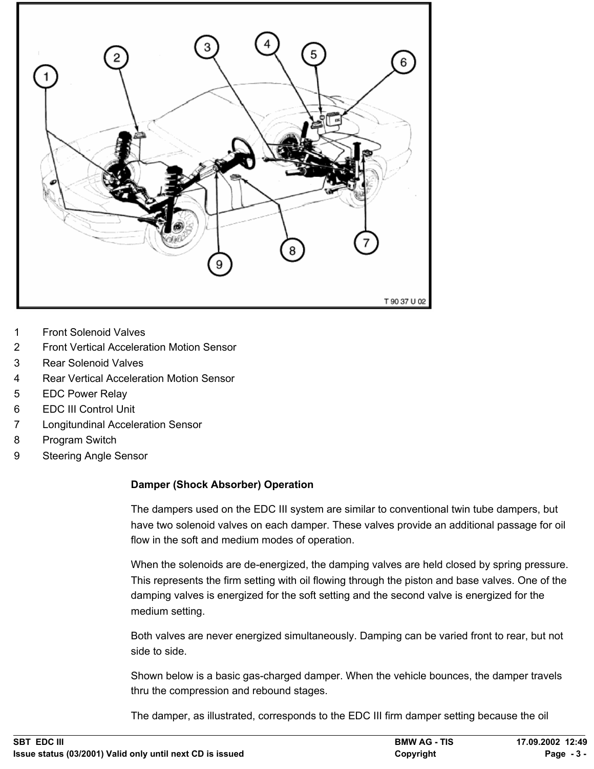

- 1 Front Solenoid Valves
- 2 Front Vertical Acceleration Motion Sensor
- 3 Rear Solenoid Valves
- 4 Rear Vertical Acceleration Motion Sensor
- 5 EDC Power Relay
- 6 EDC III Control Unit
- 7 Longitundinal Acceleration Sensor
- 8 Program Switch
- 9 Steering Angle Sensor

#### **Damper (Shock Absorber) Operation**

The dampers used on the EDC III system are similar to conventional twin tube dampers, but have two solenoid valves on each damper. These valves provide an additional passage for oil flow in the soft and medium modes of operation.

When the solenoids are de-energized, the damping valves are held closed by spring pressure. This represents the firm setting with oil flowing through the piston and base valves. One of the damping valves is energized for the soft setting and the second valve is energized for the medium setting.

Both valves are never energized simultaneously. Damping can be varied front to rear, but not side to side.

Shown below is a basic gas-charged damper. When the vehicle bounces, the damper travels thru the compression and rebound stages.

The damper, as illustrated, corresponds to the EDC III firm damper setting because the oil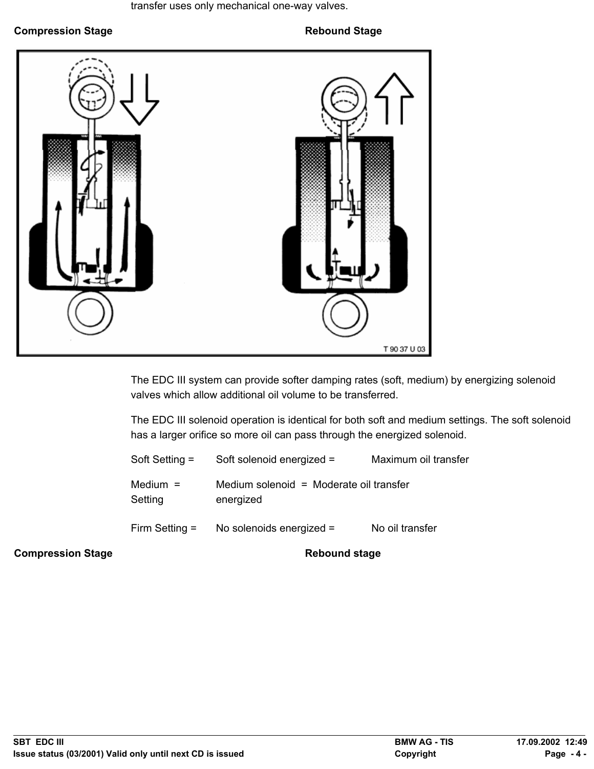transfer uses only mechanical one-way valves.

**Compression Stage Compression Stage Rebound Stage** 



The EDC III system can provide softer damping rates (soft, medium) by energizing solenoid valves which allow additional oil volume to be transferred.

The EDC III solenoid operation is identical for both soft and medium settings. The soft solenoid has a larger orifice so more oil can pass through the energized solenoid.

| Soft Setting =        | Soft solenoid energized =                            | Maximum oil transfer |
|-----------------------|------------------------------------------------------|----------------------|
| Medium $=$<br>Setting | Medium solenoid = Moderate oil transfer<br>energized |                      |
| Firm Setting $=$      | No solenoids energized =                             | No oil transfer      |

**Compression Stage Compression Stage Rebound stage**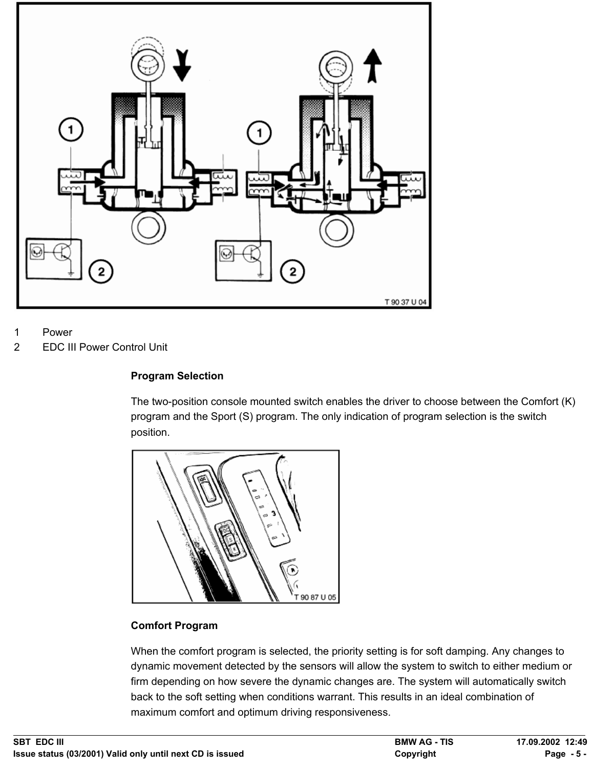

1 Power

2 EDC III Power Control Unit

## **Program Selection**

The two-position console mounted switch enables the driver to choose between the Comfort (K) program and the Sport (S) program. The only indication of program selection is the switch position.



#### **Comfort Program**

When the comfort program is selected, the priority setting is for soft damping. Any changes to dynamic movement detected by the sensors will allow the system to switch to either medium or firm depending on how severe the dynamic changes are. The system will automatically switch back to the soft setting when conditions warrant. This results in an ideal combination of maximum comfort and optimum driving responsiveness.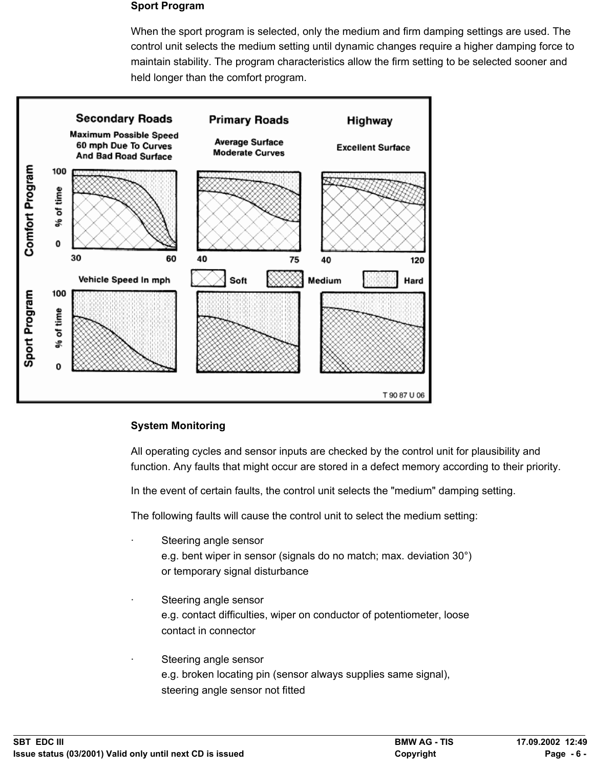#### **Sport Program**

When the sport program is selected, only the medium and firm damping settings are used. The control unit selects the medium setting until dynamic changes require a higher damping force to maintain stability. The program characteristics allow the firm setting to be selected sooner and held longer than the comfort program.



#### **System Monitoring**

All operating cycles and sensor inputs are checked by the control unit for plausibility and function. Any faults that might occur are stored in a defect memory according to their priority.

In the event of certain faults, the control unit selects the "medium" damping setting.

The following faults will cause the control unit to select the medium setting:

- Steering angle sensor e.g. bent wiper in sensor (signals do no match; max. deviation 30°) or temporary signal disturbance
- Steering angle sensor e.g. contact difficulties, wiper on conductor of potentiometer, loose contact in connector
- Steering angle sensor e.g. broken locating pin (sensor always supplies same signal), steering angle sensor not fitted